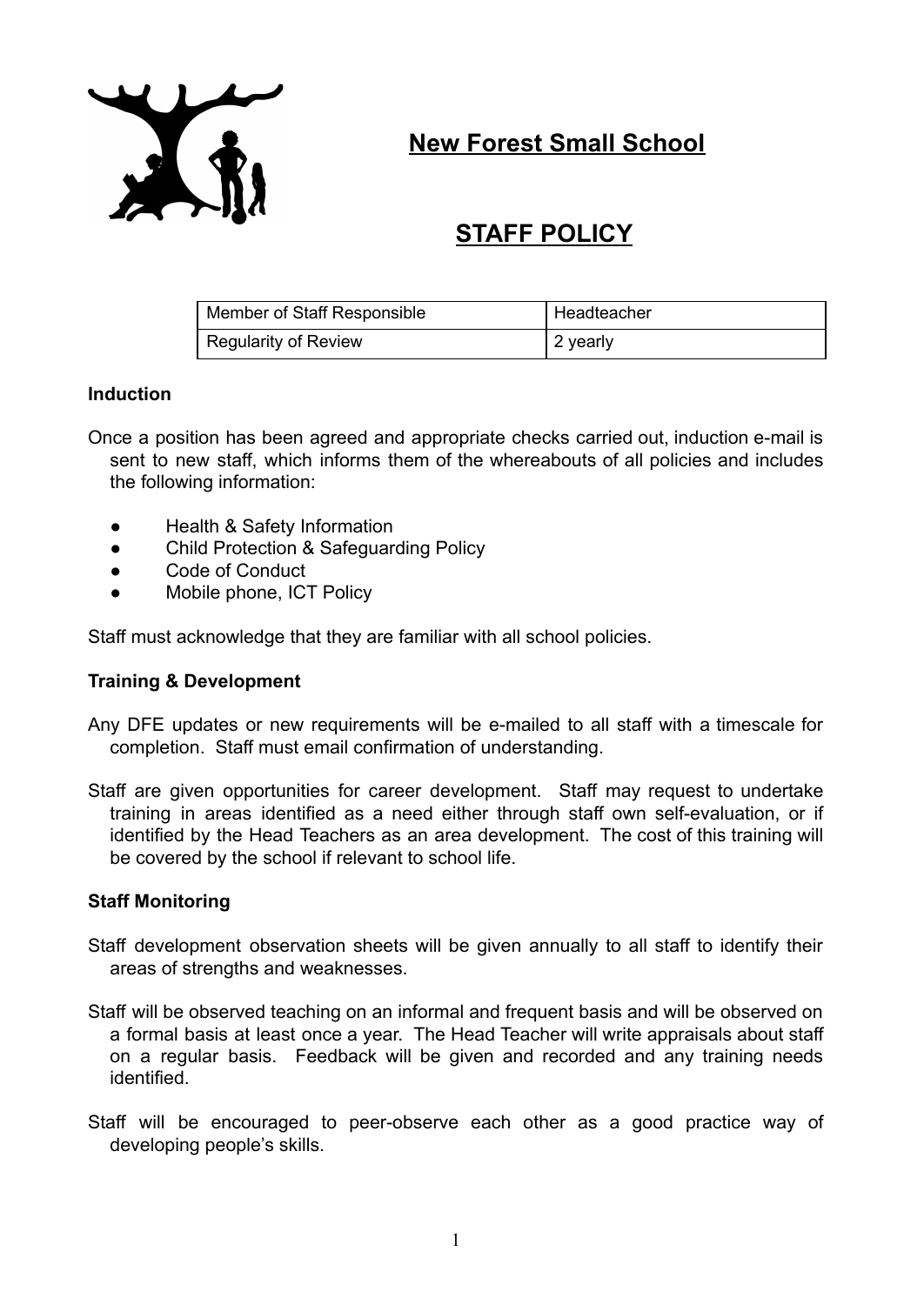

**New Forest Small School**

# **STAFF POLICY**

| Member of Staff Responsible | Headteacher |
|-----------------------------|-------------|
| Regularity of Review        | 2 yearly    |

## **Induction**

- Once a position has been agreed and appropriate checks carried out, induction e-mail is sent to new staff, which informs them of the whereabouts of all policies and includes the following information:
	- **Health & Safety Information**
	- Child Protection & Safeguarding Policy
	- Code of Conduct
	- Mobile phone, ICT Policy

Staff must acknowledge that they are familiar with all school policies.

## **Training & Development**

- Any DFE updates or new requirements will be e-mailed to all staff with a timescale for completion. Staff must email confirmation of understanding.
- Staff are given opportunities for career development. Staff may request to undertake training in areas identified as a need either through staff own self-evaluation, or if identified by the Head Teachers as an area development. The cost of this training will be covered by the school if relevant to school life.

## **Staff Monitoring**

- Staff development observation sheets will be given annually to all staff to identify their areas of strengths and weaknesses.
- Staff will be observed teaching on an informal and frequent basis and will be observed on a formal basis at least once a year. The Head Teacher will write appraisals about staff on a regular basis. Feedback will be given and recorded and any training needs identified.
- Staff will be encouraged to peer-observe each other as a good practice way of developing people's skills.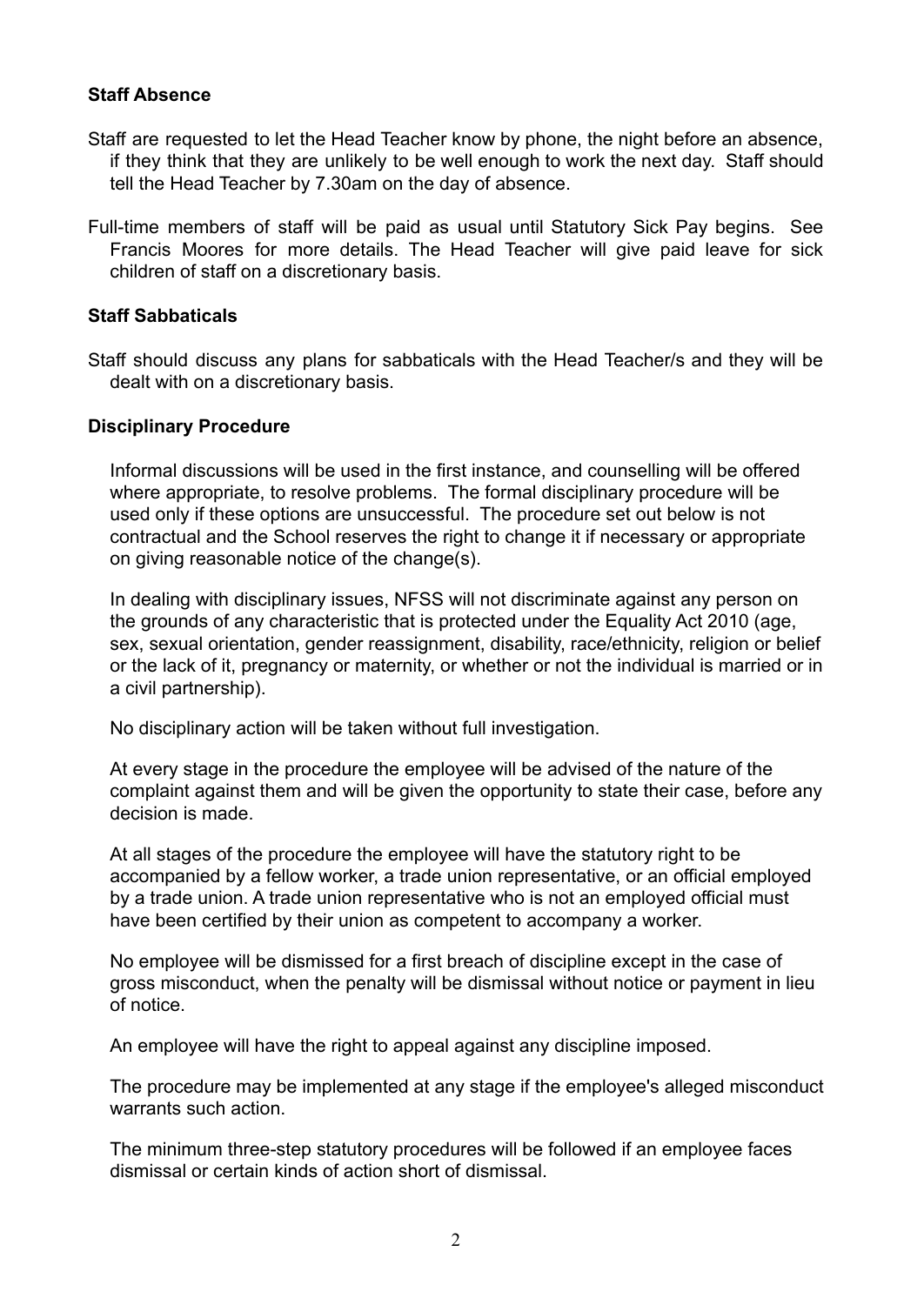## **Staff Absence**

- Staff are requested to let the Head Teacher know by phone, the night before an absence, if they think that they are unlikely to be well enough to work the next day. Staff should tell the Head Teacher by 7.30am on the day of absence.
- Full-time members of staff will be paid as usual until Statutory Sick Pay begins. See Francis Moores for more details. The Head Teacher will give paid leave for sick children of staff on a discretionary basis.

## **Staff Sabbaticals**

Staff should discuss any plans for sabbaticals with the Head Teacher/s and they will be dealt with on a discretionary basis.

## **Disciplinary Procedure**

Informal discussions will be used in the first instance, and counselling will be offered where appropriate, to resolve problems. The formal disciplinary procedure will be used only if these options are unsuccessful. The procedure set out below is not contractual and the School reserves the right to change it if necessary or appropriate on giving reasonable notice of the change(s).

In dealing with disciplinary issues, NFSS will not discriminate against any person on the grounds of any characteristic that is protected under the Equality Act 2010 (age, sex, sexual orientation, gender reassignment, disability, race/ethnicity, religion or belief or the lack of it, pregnancy or maternity, or whether or not the individual is married or in a civil partnership).

No disciplinary action will be taken without full investigation.

At every stage in the procedure the employee will be advised of the nature of the complaint against them and will be given the opportunity to state their case, before any decision is made.

At all stages of the procedure the employee will have the statutory right to be accompanied by a fellow worker, a trade union representative, or an official employed by a trade union. A trade union representative who is not an employed official must have been certified by their union as competent to accompany a worker.

No employee will be dismissed for a first breach of discipline except in the case of gross misconduct, when the penalty will be dismissal without notice or payment in lieu of notice.

An employee will have the right to appeal against any discipline imposed.

The procedure may be implemented at any stage if the employee's alleged misconduct warrants such action.

The minimum three-step statutory procedures will be followed if an employee faces dismissal or certain kinds of action short of dismissal.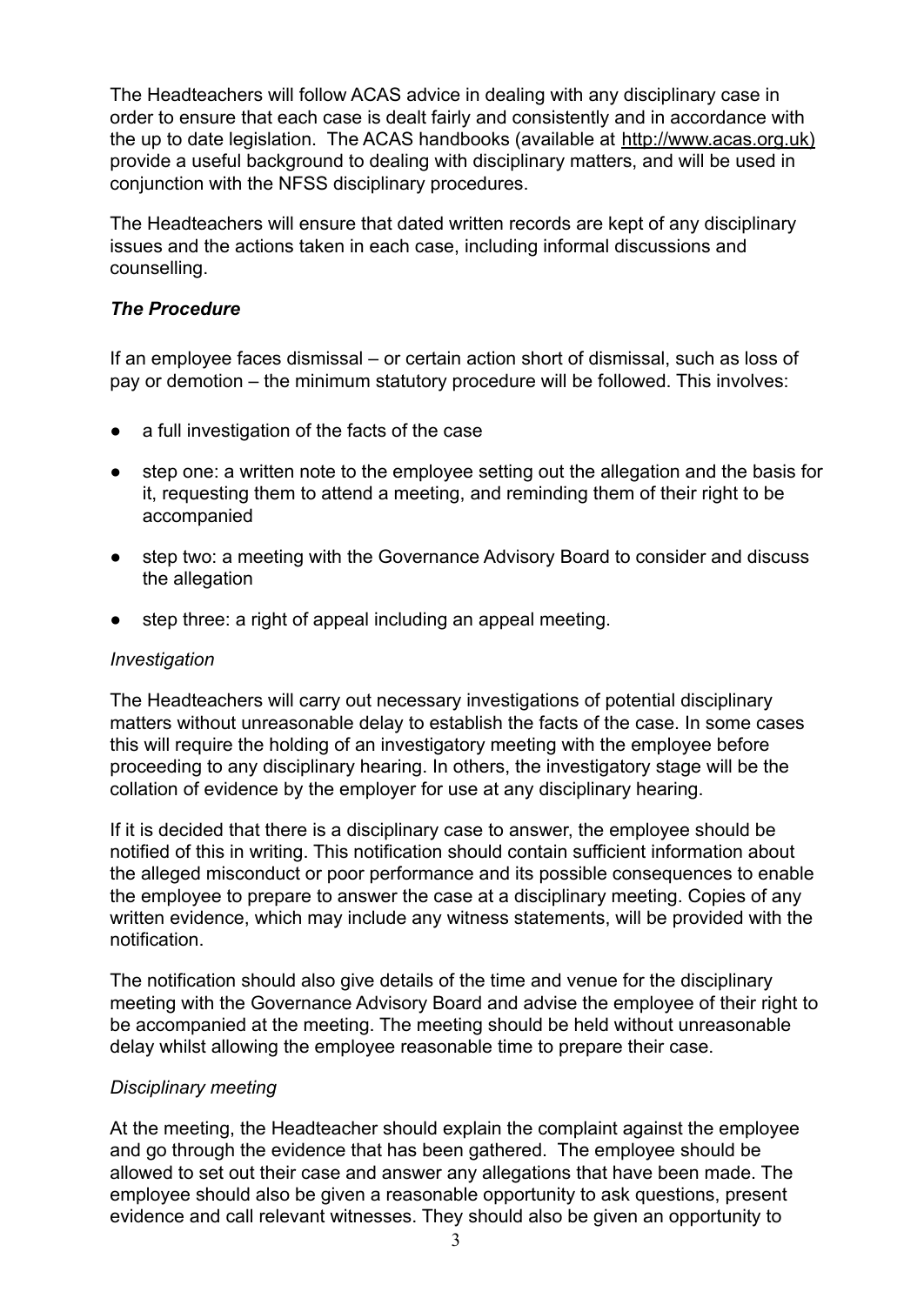The Headteachers will follow ACAS advice in dealing with any disciplinary case in order to ensure that each case is dealt fairly and consistently and in accordance with the up to date legislation. The ACAS handbooks (available at http://www.acas.org.uk) provide a useful background to dealing with disciplinary matters, and will be used in conjunction with the NFSS disciplinary procedures.

The Headteachers will ensure that dated written records are kept of any disciplinary issues and the actions taken in each case, including informal discussions and counselling.

## *The Procedure*

If an employee faces dismissal – or certain action short of dismissal, such as loss of pay or demotion – the minimum statutory procedure will be followed. This involves:

- a full investigation of the facts of the case
- step one: a written note to the employee setting out the allegation and the basis for it, requesting them to attend a meeting, and reminding them of their right to be accompanied
- step two: a meeting with the Governance Advisory Board to consider and discuss the allegation
- step three: a right of appeal including an appeal meeting.

## *Investigation*

The Headteachers will carry out necessary investigations of potential disciplinary matters without unreasonable delay to establish the facts of the case. In some cases this will require the holding of an investigatory meeting with the employee before proceeding to any disciplinary hearing. In others, the investigatory stage will be the collation of evidence by the employer for use at any disciplinary hearing.

If it is decided that there is a disciplinary case to answer, the employee should be notified of this in writing. This notification should contain sufficient information about the alleged misconduct or poor performance and its possible consequences to enable the employee to prepare to answer the case at a disciplinary meeting. Copies of any written evidence, which may include any witness statements, will be provided with the notification.

The notification should also give details of the time and venue for the disciplinary meeting with the Governance Advisory Board and advise the employee of their right to be accompanied at the meeting. The meeting should be held without unreasonable delay whilst allowing the employee reasonable time to prepare their case.

## *Disciplinary meeting*

At the meeting, the Headteacher should explain the complaint against the employee and go through the evidence that has been gathered. The employee should be allowed to set out their case and answer any allegations that have been made. The employee should also be given a reasonable opportunity to ask questions, present evidence and call relevant witnesses. They should also be given an opportunity to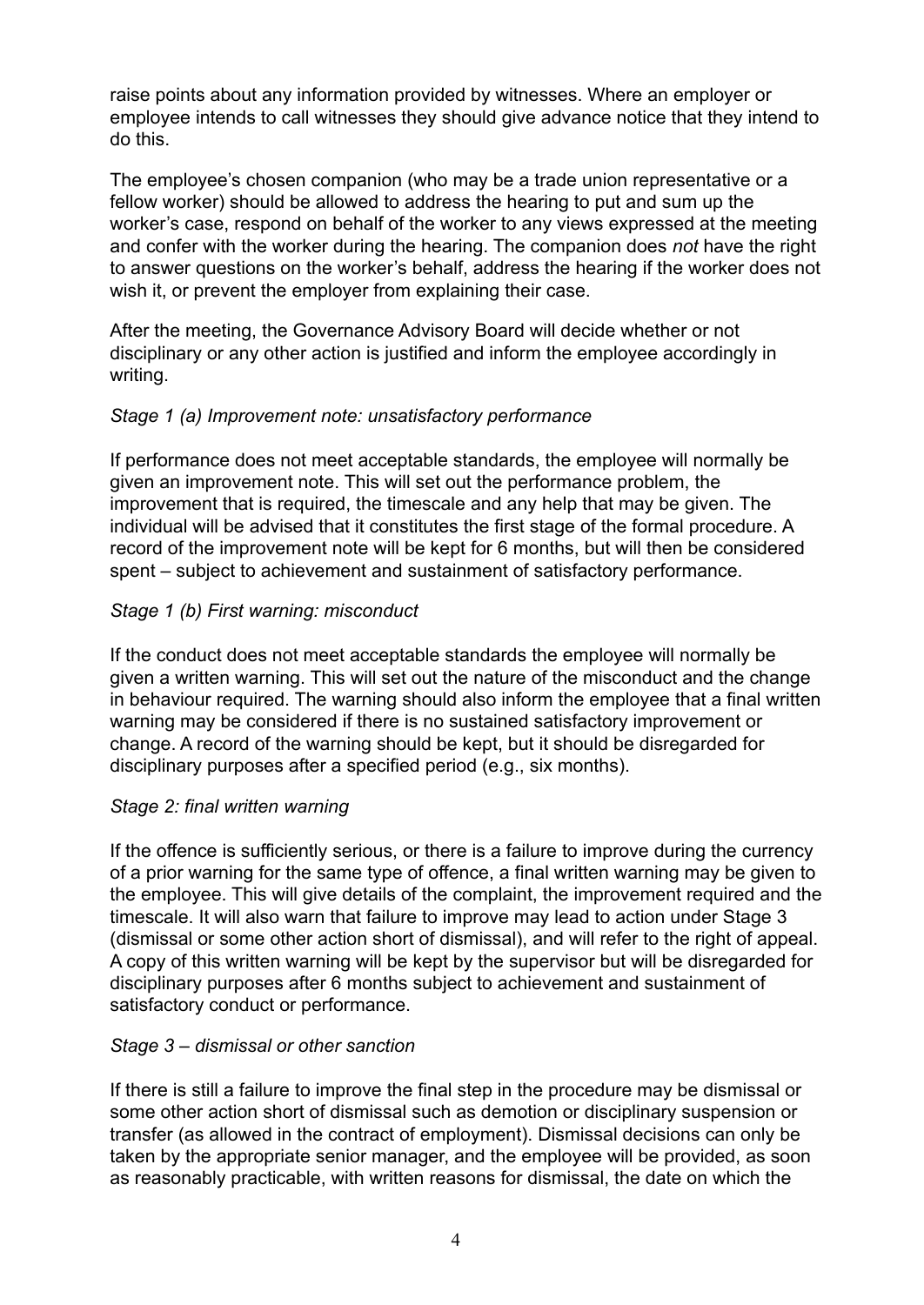raise points about any information provided by witnesses. Where an employer or employee intends to call witnesses they should give advance notice that they intend to do this.

The employee's chosen companion (who may be a trade union representative or a fellow worker) should be allowed to address the hearing to put and sum up the worker's case, respond on behalf of the worker to any views expressed at the meeting and confer with the worker during the hearing. The companion does *not* have the right to answer questions on the worker's behalf, address the hearing if the worker does not wish it, or prevent the employer from explaining their case.

After the meeting, the Governance Advisory Board will decide whether or not disciplinary or any other action is justified and inform the employee accordingly in writing.

## *Stage 1 (a) Improvement note: unsatisfactory performance*

If performance does not meet acceptable standards, the employee will normally be given an improvement note. This will set out the performance problem, the improvement that is required, the timescale and any help that may be given. The individual will be advised that it constitutes the first stage of the formal procedure. A record of the improvement note will be kept for 6 months, but will then be considered spent – subject to achievement and sustainment of satisfactory performance.

## *Stage 1 (b) First warning: misconduct*

If the conduct does not meet acceptable standards the employee will normally be given a written warning. This will set out the nature of the misconduct and the change in behaviour required. The warning should also inform the employee that a final written warning may be considered if there is no sustained satisfactory improvement or change. A record of the warning should be kept, but it should be disregarded for disciplinary purposes after a specified period (e.g., six months).

## *Stage 2: final written warning*

If the offence is sufficiently serious, or there is a failure to improve during the currency of a prior warning for the same type of offence, a final written warning may be given to the employee. This will give details of the complaint, the improvement required and the timescale. It will also warn that failure to improve may lead to action under Stage 3 (dismissal or some other action short of dismissal), and will refer to the right of appeal. A copy of this written warning will be kept by the supervisor but will be disregarded for disciplinary purposes after 6 months subject to achievement and sustainment of satisfactory conduct or performance.

## *Stage 3 – dismissal or other sanction*

If there is still a failure to improve the final step in the procedure may be dismissal or some other action short of dismissal such as demotion or disciplinary suspension or transfer (as allowed in the contract of employment). Dismissal decisions can only be taken by the appropriate senior manager, and the employee will be provided, as soon as reasonably practicable, with written reasons for dismissal, the date on which the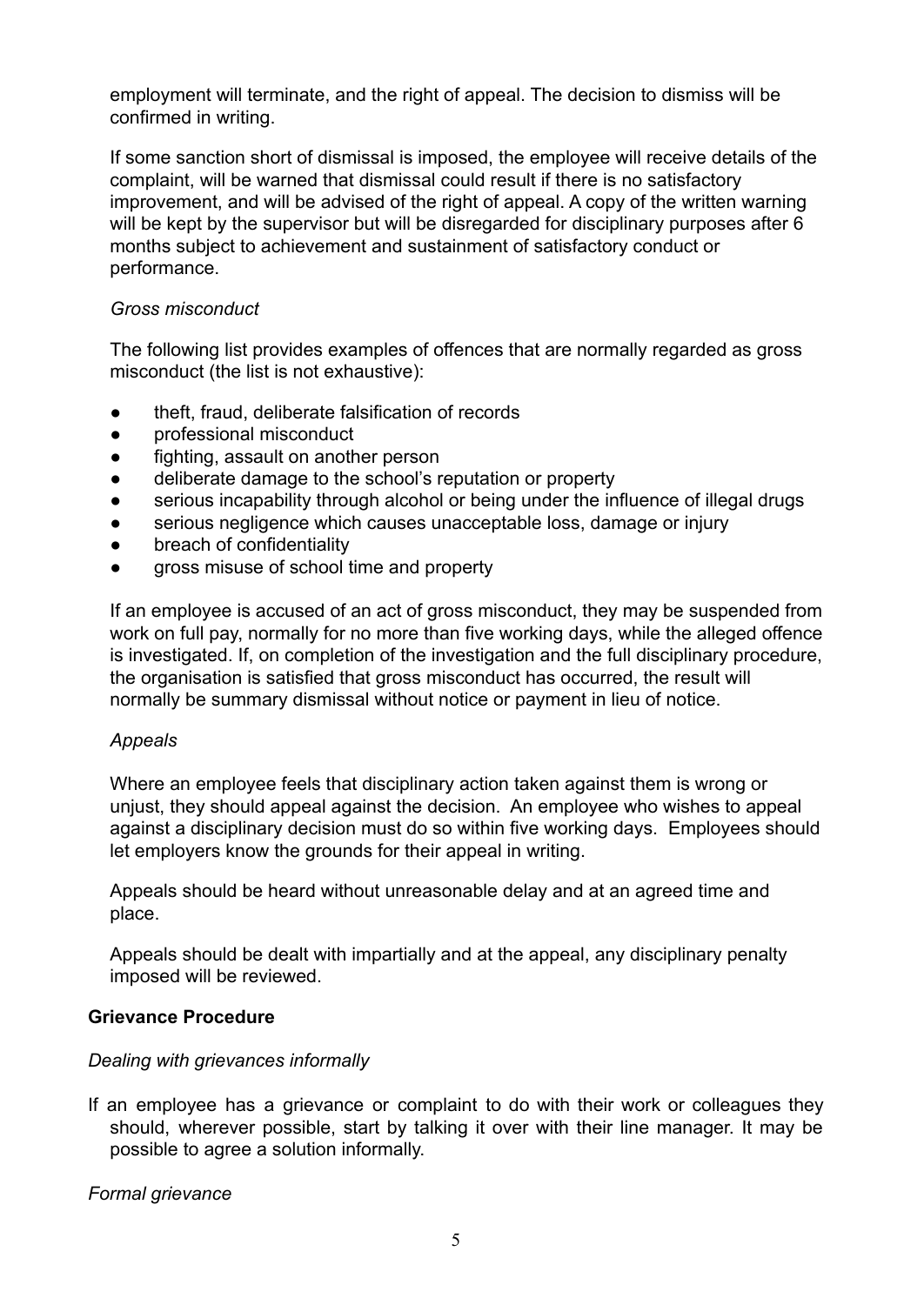employment will terminate, and the right of appeal. The decision to dismiss will be confirmed in writing.

If some sanction short of dismissal is imposed, the employee will receive details of the complaint, will be warned that dismissal could result if there is no satisfactory improvement, and will be advised of the right of appeal. A copy of the written warning will be kept by the supervisor but will be disregarded for disciplinary purposes after 6 months subject to achievement and sustainment of satisfactory conduct or performance.

## *Gross misconduct*

The following list provides examples of offences that are normally regarded as gross misconduct (the list is not exhaustive):

- theft, fraud, deliberate falsification of records
- professional misconduct
- fighting, assault on another person
- deliberate damage to the school's reputation or property
- serious incapability through alcohol or being under the influence of illegal drugs
- serious negligence which causes unacceptable loss, damage or injury
- breach of confidentiality
- gross misuse of school time and property

If an employee is accused of an act of gross misconduct, they may be suspended from work on full pay, normally for no more than five working days, while the alleged offence is investigated. If, on completion of the investigation and the full disciplinary procedure, the organisation is satisfied that gross misconduct has occurred, the result will normally be summary dismissal without notice or payment in lieu of notice.

## *Appeals*

Where an employee feels that disciplinary action taken against them is wrong or unjust, they should appeal against the decision. An employee who wishes to appeal against a disciplinary decision must do so within five working days. Employees should let employers know the grounds for their appeal in writing.

Appeals should be heard without unreasonable delay and at an agreed time and place.

Appeals should be dealt with impartially and at the appeal, any disciplinary penalty imposed will be reviewed.

## **Grievance Procedure**

## *Dealing with grievances informally*

If an employee has a grievance or complaint to do with their work or colleagues they should, wherever possible, start by talking it over with their line manager. It may be possible to agree a solution informally.

*Formal grievance*